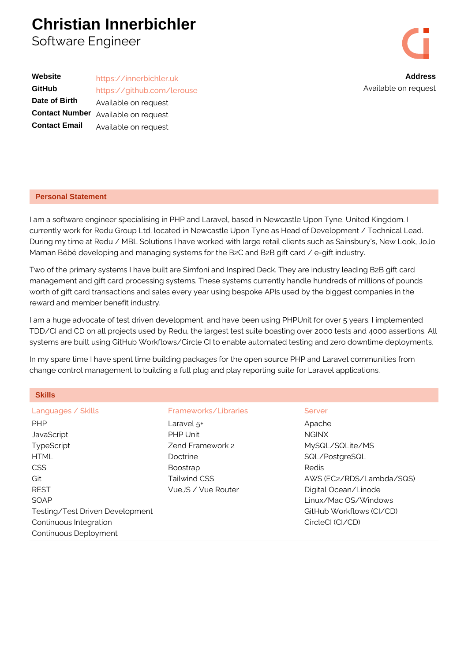## Christian Innerbichler Software Engineer



Available on reque

| https://innerbichler.uk    |  |
|----------------------------|--|
| https://github.com/lerouse |  |
| Available on request       |  |
| Available on request       |  |
| Available on request       |  |
|                            |  |

## Personal Statement

I am a software engineer specialising in PHP and Laravel, based in Newcastle U currently work for Redu Group Ltd. located in Newcastle Upon Tyne as Head of D During my time at Redu / MBL Solutions I have worked with large retail clients s Maman Bébé developing and managing systems for the B2C and B2B gift card / e-

Two of the primary systems I have built are Simfoni and Inspired Deck. They are management and gift card processing systems. These systems currently handle h worth of gift card transactions and sales every year using bespoke APIs used by reward and member benefit industry.

I am a huge advocate of test driven development, and have been using PHPUnit TDD/CI and CD on all projects used by Redu, the largest test suite boasting ove systems are built using GitHub Workflows/Circle CI to enable automated testing

In my spare time I have spent time building packages for the open source PHP a change control management to building a full plug and play reporting suite for L

| <b>Skills</b>                   |                      |                          |
|---------------------------------|----------------------|--------------------------|
| Languages / Skills              | Frameworks/Libraries | Server                   |
| PHP                             | Laravel $5+$         | Apache                   |
| JavaScript                      | PHP Unit             | NGINX                    |
| TypeScript                      | Zend Framework 2     | MySQL/SQLite/MS          |
| HTML                            | Doctrine             | SQL/PostgreSQL           |
| <b>CSS</b>                      | <b>Boostrap</b>      | Redis                    |
| Git                             | Tailwind CSS         | AWS (EC2/RDS/Lambda/SQS) |
| REST                            | VueJS / Vue Router   | Digital Ocean/Linode     |
| SOAP                            |                      | Linux/Mac OS/Windows     |
| Testing/Test Driven Development |                      | GitHub Workflows (CI/CD) |
| Continuous Integration          |                      | CircleCl (CI/CD)         |
| Continuous Deployment           |                      |                          |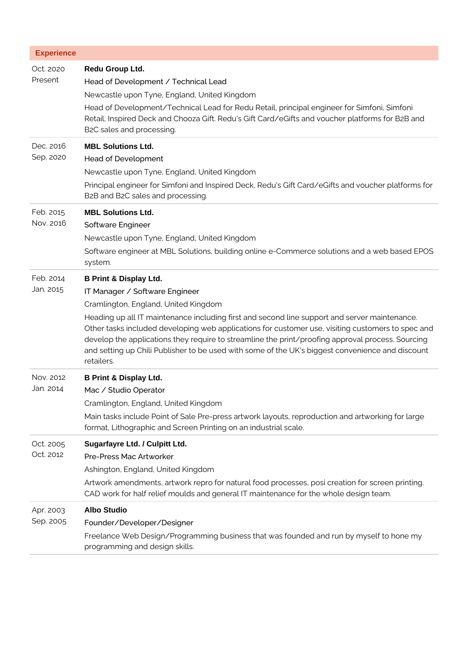| <b>Experience</b>      |                                                                                                                                                                                                                                                                                                                                                                                                                                                                                                                                          |
|------------------------|------------------------------------------------------------------------------------------------------------------------------------------------------------------------------------------------------------------------------------------------------------------------------------------------------------------------------------------------------------------------------------------------------------------------------------------------------------------------------------------------------------------------------------------|
| Oct. 2020<br>Present   | Redu Group Ltd.<br>Head of Development / Technical Lead<br>Newcastle upon Tyne, England, United Kingdom<br>Head of Development/Technical Lead for Redu Retail, principal engineer for Simfoni, Simfoni<br>Retail, Inspired Deck and Chooza Gift. Redu's Gift Card/eGifts and voucher platforms for B2B and<br>B2C sales and processing.                                                                                                                                                                                                  |
| Dec. 2016<br>Sep. 2020 | <b>MBL Solutions Ltd.</b><br><b>Head of Development</b><br>Newcastle upon Tyne, England, United Kingdom<br>Principal engineer for Simfoni and Inspired Deck, Redu's Gift Card/eGifts and voucher platforms for<br>B2B and B2C sales and processing.                                                                                                                                                                                                                                                                                      |
| Feb. 2015<br>Nov. 2016 | <b>MBL Solutions Ltd.</b><br>Software Engineer<br>Newcastle upon Tyne, England, United Kingdom<br>Software engineer at MBL Solutions, building online e-Commerce solutions and a web based EPOS<br>system.                                                                                                                                                                                                                                                                                                                               |
| Feb. 2014<br>Jan. 2015 | <b>B Print &amp; Display Ltd.</b><br>IT Manager / Software Engineer<br>Cramlington, England, United Kingdom<br>Heading up all IT maintenance including first and second line support and server maintenance.<br>Other tasks included developing web applications for customer use, visiting customers to spec and<br>develop the applications they require to streamline the print/proofing approval process. Sourcing<br>and setting up Chili Publisher to be used with some of the UK's biggest convenience and discount<br>retailers. |
| Nov. 2012<br>Jan. 2014 | <b>B Print &amp; Display Ltd.</b><br>Mac / Studio Operator<br>Cramlington, England, United Kingdom<br>Main tasks include Point of Sale Pre-press artwork layouts, reproduction and artworking for large<br>format, Lithographic and Screen Printing on an industrial scale.                                                                                                                                                                                                                                                              |
| Oct. 2005<br>Oct. 2012 | Sugarfayre Ltd. / Culpitt Ltd.<br>Pre-Press Mac Artworker<br>Ashington, England, United Kingdom<br>Artwork amendments, artwork repro for natural food processes, posi creation for screen printing.<br>CAD work for half relief moulds and general IT maintenance for the whole design team.                                                                                                                                                                                                                                             |
| Apr. 2003<br>Sep. 2005 | <b>Albo Studio</b><br>Founder/Developer/Designer<br>Freelance Web Design/Programming business that was founded and run by myself to hone my<br>programming and design skills.                                                                                                                                                                                                                                                                                                                                                            |